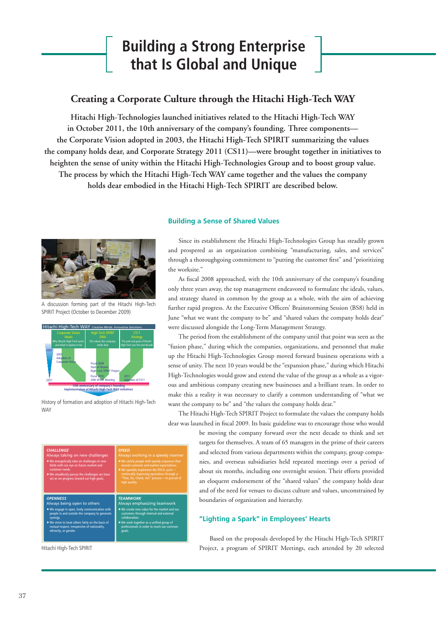# **Building a Strong Enterprise that Is Global and Unique**

# **Creating a Corporate Culture through the Hitachi High-Tech WAY**

**Hitachi High-Technologies launched initiatives related to the Hitachi High-Tech WAY in October 2011, the 10th anniversary of the company's founding. Three components the Corporate Vision adopted in 2003, the Hitachi High-Tech SPIRIT summarizing the values the company holds dear, and Corporate Strategy 2011 (CS11)—were brought together in initiatives to heighten the sense of unity within the Hitachi High-Technologies Group and to boost group value. The process by which the Hitachi High-Tech WAY came together and the values the company holds dear embodied in the Hitachi High-Tech SPIRIT are described below.** 



A discussion forming part of the Hitachi High-Tech SPIRIT Project (October to December 2009)



History of formation and adoption of Hitachi High-Tech **WAY** 

### **Building a Sense of Shared Values**

Since its establishment the Hitachi High-Technologies Group has steadily grown and prospered as an organization combining "manufacturing, sales, and services" through a thoroughgoing commitment to "putting the customer first" and "prioritizing the worksite."

As fiscal 2008 approached, with the 10th anniversary of the company's founding only three years away, the top management endeavored to formulate the ideals, values, and strategy shared in common by the group as a whole, with the aim of achieving further rapid progress. At the Executive Officers' Brainstorming Session (BS8) held in June "what we want the company to be" and "shared values the company holds dear" were discussed alongside the Long-Term Management Strategy.

The period from the establishment of the company until that point was seen as the "fusion phase," during which the companies, organizations, and personnel that make up the Hitachi High-Technologies Group moved forward business operations with a sense of unity. The next 10 years would be the "expansion phase," during which Hitachi High-Technologies would grow and extend the value of the group as a whole as a vigorous and ambitious company creating new businesses and a brilliant team. In order to make this a reality it was necessary to clarify a common understanding of "what we want the company to be" and "the values the company holds dear."

The Hitachi High-Tech SPIRIT Project to formulate the values the company holds dear was launched in fiscal 2009. Its basic guideline was to encourage those who would

| <b>CHALLENGE</b><br>Always taking on new challenges<br>$\blacktriangleright$ We energetically take on challenges in new<br>fields with our eye on future market and<br>customer needs.<br>$\blacktriangleright$ We steadfastly pursue the challenges we have<br>set as we progress toward our high goals. | <b>SPEED</b><br>Always working in a speedy manner<br>$\blacktriangleright$ We satisfy people with speedy responses that<br>exceed customer and market expectations.<br>$\triangleright$ We speedily implement the PDCA cycle-<br>continually improving operations through a<br>"Plan, Do, Check, Act" process-in pursuit of<br>high quality. |
|-----------------------------------------------------------------------------------------------------------------------------------------------------------------------------------------------------------------------------------------------------------------------------------------------------------|----------------------------------------------------------------------------------------------------------------------------------------------------------------------------------------------------------------------------------------------------------------------------------------------------------------------------------------------|
| <b>OPENNESS</b>                                                                                                                                                                                                                                                                                           | <b>TEAMWORK</b>                                                                                                                                                                                                                                                                                                                              |
| Always being open to others                                                                                                                                                                                                                                                                               | Always emphasizing teamwork                                                                                                                                                                                                                                                                                                                  |
| $\triangleright$ We engage in open, lively communication with                                                                                                                                                                                                                                             | $\triangleright$ We create new value for the market and our                                                                                                                                                                                                                                                                                  |
| people in and outside the company to generate                                                                                                                                                                                                                                                             | customers through internal and external                                                                                                                                                                                                                                                                                                      |
| synergy.                                                                                                                                                                                                                                                                                                  | collaboration.                                                                                                                                                                                                                                                                                                                               |
| $\blacktriangleright$ We strive to treat others fairly on the basis of                                                                                                                                                                                                                                    | $\blacktriangleright$ We work together as a unified group of                                                                                                                                                                                                                                                                                 |
| mutual respect, irrespective of nationality,                                                                                                                                                                                                                                                              | professionals in order to reach our common                                                                                                                                                                                                                                                                                                   |
| ethnicity, or gender.                                                                                                                                                                                                                                                                                     | goals.                                                                                                                                                                                                                                                                                                                                       |

Hitachi High-Tech SPIRIT

be moving the company forward over the next decade to think and set targets for themselves. A team of 65 managers in the prime of their careers and selected from various departments within the company, group companies, and overseas subsidiaries held repeated meetings over a period of about six months, including one overnight session. Their efforts provided an eloquent endorsement of the "shared values" the company holds dear and of the need for venues to discuss culture and values, unconstrained by boundaries of organization and hierarchy.

## **"Lighting a Spark" in Employees' Hearts**

Based on the proposals developed by the Hitachi High-Tech SPIRIT Project, a program of SPIRIT Meetings, each attended by 20 selected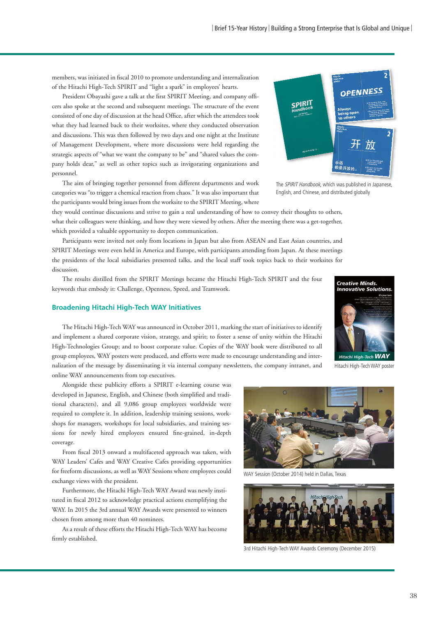members, was initiated in fiscal 2010 to promote understanding and internalization of the Hitachi High-Tech SPIRIT and "light a spark" in employees' hearts.

President Obayashi gave a talk at the first SPIRIT Meeting, and company officers also spoke at the second and subsequent meetings. The structure of the event consisted of one day of discussion at the head Office, after which the attendees took what they had learned back to their worksites, where they conducted observation and discussions. This was then followed by two days and one night at the Institute of Management Development, where more discussions were held regarding the strategic aspects of "what we want the company to be" and "shared values the company holds dear," as well as other topics such as invigorating organizations and personnel.



The aim of bringing together personnel from different departments and work categories was "to trigger a chemical reaction from chaos." It was also important that the participants would bring issues from the worksite to the SPIRIT Meeting, where

The SPIRIT Handbook, which was published in Japanese, English, and Chinese, and distributed globally

they would continue discussions and strive to gain a real understanding of how to convey their thoughts to others, what their colleagues were thinking, and how they were viewed by others. After the meeting there was a get-together, which provided a valuable opportunity to deepen communication.

Participants were invited not only from locations in Japan but also from ASEAN and East Asian countries, and SPIRIT Meetings were even held in America and Europe, with participants attending from Japan. At these meetings the presidents of the local subsidiaries presented talks, and the local staff took topics back to their worksites for discussion.

The results distilled from the SPIRIT Meetings became the Hitachi High-Tech SPIRIT and the four keywords that embody it: Challenge, Openness, Speed, and Teamwork.

#### **Broadening Hitachi High-Tech WAY Initiatives**

The Hitachi High-Tech WAY was announced in October 2011, marking the start of initiatives to identify and implement a shared corporate vision, strategy, and spirit; to foster a sense of unity within the Hitachi High-Technologies Group; and to boost corporate value. Copies of the WAY book were distributed to all group employees, WAY posters were produced, and efforts were made to encourage understanding and internalization of the message by disseminating it via internal company newsletters, the company intranet, and online WAY announcements from top executives.

Alongside these publicity efforts a SPIRIT e-learning course was developed in Japanese, English, and Chinese (both simplified and traditional characters), and all 9,086 group employees worldwide were required to complete it. In addition, leadership training sessions, workshops for managers, workshops for local subsidiaries, and training sessions for newly hired employees ensured fine-grained, in-depth coverage.

From fiscal 2013 onward a multifaceted approach was taken, with WAY Leaders' Cafes and WAY Creative Cafes providing opportunities for freeform discussions, as well as WAY Sessions where employees could exchange views with the president.

Furthermore, the Hitachi High-Tech WAY Award was newly instituted in fiscal 2012 to acknowledge practical actions exemplifying the WAY. In 2015 the 3rd annual WAY Awards were presented to winners chosen from among more than 40 nominees.

As a result of these efforts the Hitachi High-Tech WAY has become firmly established.



WAY Session (October 2014) held in Dallas, Texas



3rd Hitachi High-Tech WAY Awards Ceremony (December 2015)



Hitachi High-Tech WAY poster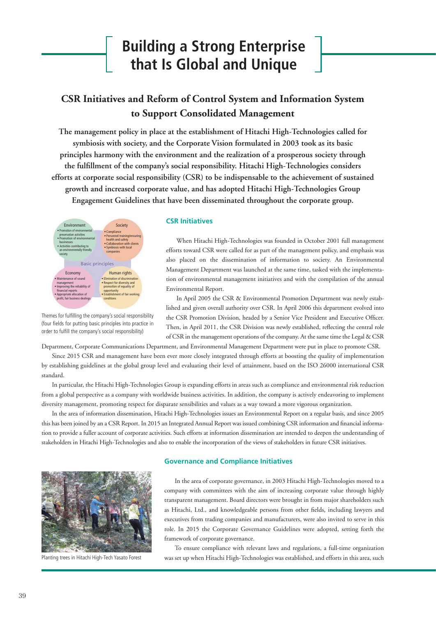# **Building a Strong Enterprise that Is Global and Unique**

# **CSR Initiatives and Reform of Control System and Information System to Support Consolidated Management**

**The management policy in place at the establishment of Hitachi High-Technologies called for symbiosis with society, and the Corporate Vision formulated in 2003 took as its basic principles harmony with the environment and the realization of a prosperous society through**  the fulfillment of the company's social responsibility. Hitachi High-Technologies considers **efforts at corporate social responsibility (CSR) to be indispensable to the achievement of sustained growth and increased corporate value, and has adopted Hitachi High-Technologies Group Engagement Guidelines that have been disseminated throughout the corporate group.**



Themes for fulfilling the company's social responsibility (four fields for putting basic principles into practice in order to fulfill the company's social responsibility)

### **CSR Initiatives**

When Hitachi High-Technologies was founded in October 2001 full management efforts toward CSR were called for as part of the management policy, and emphasis was also placed on the dissemination of information to society. An Environmental Management Department was launched at the same time, tasked with the implementation of environmental management initiatives and with the compilation of the annual Environmental Report.

In April 2005 the CSR & Environmental Promotion Department was newly established and given overall authority over CSR. In April 2006 this department evolved into the CSR Promotion Division, headed by a Senior Vice President and Executive Officer. Then, in April 2011, the CSR Division was newly established, reflecting the central role of CSR in the management operations of the company. At the same time the Legal & CSR

Department, Corporate Communications Department, and Environmental Management Department were put in place to promote CSR.

Since 2015 CSR and management have been ever more closely integrated through efforts at boosting the quality of implementation by establishing guidelines at the global group level and evaluating their level of attainment, based on the ISO 26000 international CSR standard.

In particular, the Hitachi High-Technologies Group is expanding efforts in areas such as compliance and environmental risk reduction from a global perspective as a company with worldwide business activities. In addition, the company is actively endeavoring to implement diversity management, promoting respect for disparate sensibilities and values as a way toward a more vigorous organization.

In the area of information dissemination, Hitachi High-Technologies issues an Environmental Report on a regular basis, and since 2005 this has been joined by an a CSR Report. In 2015 an Integrated Annual Report was issued combining CSR information and financial information to provide a fuller account of corporate activities. Such efforts at information dissemination are intended to deepen the understanding of stakeholders in Hitachi High-Technologies and also to enable the incorporation of the views of stakeholders in future CSR initiatives.



Planting trees in Hitachi High-Tech Yasato Forest

#### **Governance and Compliance Initiatives**

In the area of corporate governance, in 2003 Hitachi High-Technologies moved to a company with committees with the aim of increasing corporate value through highly transparent management. Board directors were brought in from major shareholders such as Hitachi, Ltd., and knowledgeable persons from other fields, including lawyers and executives from trading companies and manufacturers, were also invited to serve in this role. In 2015 the Corporate Governance Guidelines were adopted, setting forth the framework of corporate governance.

To ensure compliance with relevant laws and regulations, a full-time organization was set up when Hitachi High-Technologies was established, and efforts in this area, such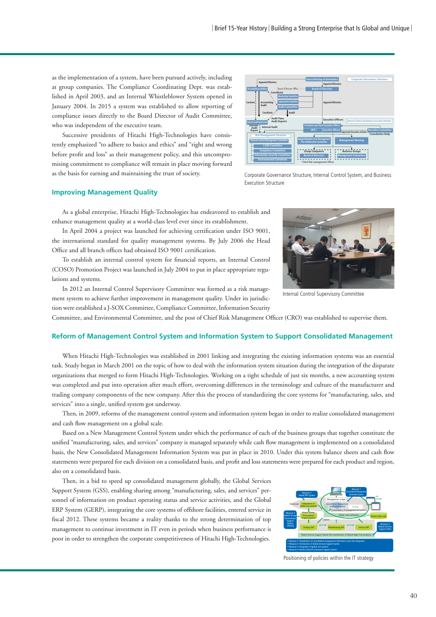as the implementation of a system, have been pursued actively, including at group companies. The Compliance Coordinating Dept. was established in April 2003, and an Internal Whistleblower System opened in January 2004. In 2015 a system was established to allow reporting of compliance issues directly to the Board Director of Audit Committee, who was independent of the executive team.

Successive presidents of Hitachi High-Technologies have consistently emphasized "to adhere to basics and ethics" and "right and wrong before profit and loss" as their management policy, and this uncompromising commitment to compliance will remain in place moving forward as the basis for earning and maintaining the trust of society.



Corporate Governance Structure, Internal Control System, and Business Execution Structure

#### **Improving Management Quality**

As a global enterprise, Hitachi High-Technologies has endeavored to establish and enhance management quality at a world-class level ever since its establishment.

In April 2004 a project was launched for achieving certification under ISO 9001, the international standard for quality management systems. By July 2006 the Head Office and all branch offices had obtained ISO 9001 certification.

To establish an internal control system for financial reports, an Internal Control (COSO) Promotion Project was launched in July 2004 to put in place appropriate regulations and systems.

In 2012 an Internal Control Supervisory Committee was formed as a risk management system to achieve further improvement in management quality. Under its jurisdiction were established a J-SOX Committee, Compliance Committee, Information Security



Internal Control Supervisory Committee

Committee, and Environmental Committee, and the post of Chief Risk Management Officer (CRO) was established to supervise them.

#### **Reform of Management Control System and Information System to Support Consolidated Management**

When Hitachi High-Technologies was established in 2001 linking and integrating the existing information systems was an essential task. Study began in March 2001 on the topic of how to deal with the information system situation during the integration of the disparate organizations that merged to form Hitachi High-Technologies. Working on a tight schedule of just six months, a new accounting system was completed and put into operation after much effort, overcoming differences in the terminology and culture of the manufacturer and trading company components of the new company. After this the process of standardizing the core systems for "manufacturing, sales, and services" into a single, unified system got underway.

Then, in 2009, reforms of the management control system and information system began in order to realize consolidated management and cash flow management on a global scale.

Based on a New Management Control System under which the performance of each of the business groups that together constitute the unified "manufacturing, sales, and services" company is managed separately while cash flow management is implemented on a consolidated basis, the New Consolidated Management Information System was put in place in 2010. Under this system balance sheets and cash flow statements were prepared for each division on a consolidated basis, and profit and loss statements were prepared for each product and region, also on a consolidated basis.

Then, in a bid to speed up consolidated management globally, the Global Services Support System (GSS), enabling sharing among "manufacturing, sales, and services" personnel of information on product operating status and service activities, and the Global ERP System (GERP), integrating the core systems of offshore facilities, entered service in fiscal 2012. These systems became a reality thanks to the strong determination of top management to continue investment in IT even in periods when business performance is poor in order to strengthen the corporate competitiveness of Hitachi High-Technologies.



Positioning of policies within the IT strategy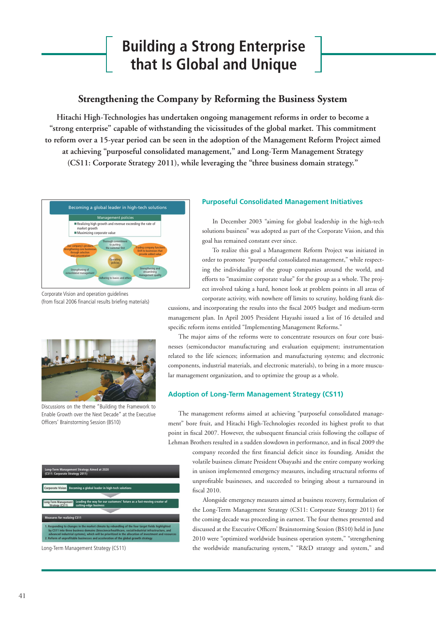# **Building a Strong Enterprise that Is Global and Unique**

# **Strengthening the Company by Reforming the Business System**

**Hitachi High-Technologies has undertaken ongoing management reforms in order to become a "strong enterprise" capable of withstanding the vicissitudes of the global market. This commitment to reform over a 15-year period can be seen in the adoption of the Management Reform Project aimed at achieving "purposeful consolidated management," and Long-Term Management Strategy (CS11: Corporate Strategy 2011), while leveraging the "three business domain strategy."**



Corporate Vision and operation guidelines (from fiscal 2006 financial results briefing materials)



Discussions on the theme "Building the Framework to Enable Growth over the Next Decade" at the Executive Officers' Brainstorming Session (BS10)



Long-Term Management Strategy (CS11)

## **Purposeful Consolidated Management Initiatives**

In December 2003 "aiming for global leadership in the high-tech solutions business" was adopted as part of the Corporate Vision, and this goal has remained constant ever since.

To realize this goal a Management Reform Project was initiated in order to promote "purposeful consolidated management," while respecting the individuality of the group companies around the world, and efforts to "maximize corporate value" for the group as a whole. The project involved taking a hard, honest look at problem points in all areas of corporate activity, with nowhere off limits to scrutiny, holding frank dis-

cussions, and incorporating the results into the fiscal 2005 budget and medium-term management plan. In April 2005 President Hayashi issued a list of 16 detailed and specific reform items entitled "Implementing Management Reforms."

The major aims of the reforms were to concentrate resources on four core businesses (semiconductor manufacturing and evaluation equipment; instrumentation related to the life sciences; information and manufacturing systems; and electronic components, industrial materials, and electronic materials), to bring in a more muscular management organization, and to optimize the group as a whole.

## **Adoption of Long-Term Management Strategy (CS11)**

The management reforms aimed at achieving "purposeful consolidated management" bore fruit, and Hitachi High-Technologies recorded its highest profit to that point in fiscal 2007. However, the subsequent financial crisis following the collapse of Lehman Brothers resulted in a sudden slowdown in performance, and in fiscal 2009 the

> company recorded the first financial deficit since its founding. Amidst the volatile business climate President Obayashi and the entire company working in unison implemented emergency measures, including structural reforms of unprofitable businesses, and succeeded to bringing about a turnaround in fiscal 2010.

> Alongside emergency measures aimed at business recovery, formulation of the Long-Term Management Strategy (CS11: Corporate Strategy 2011) for the coming decade was proceeding in earnest. The four themes presented and discussed at the Executive Officers' Brainstorming Session (BS10) held in June 2010 were "optimized worldwide business operation system," "strengthening the worldwide manufacturing system," "R&D strategy and system," and